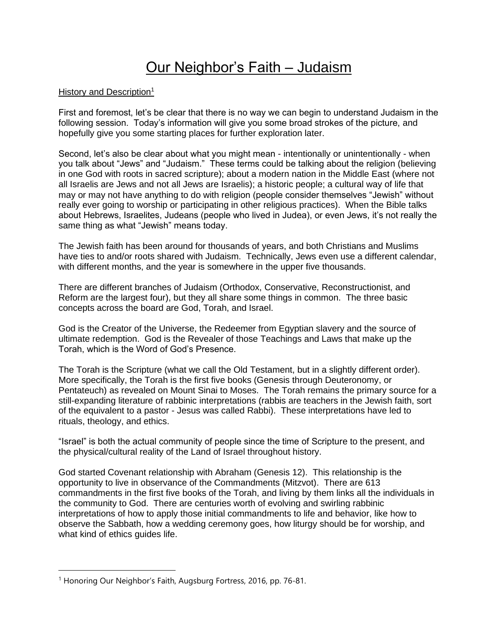# Our Neighbor's Faith – Judaism

#### History and Description<sup>1</sup>

First and foremost, let's be clear that there is no way we can begin to understand Judaism in the following session. Today's information will give you some broad strokes of the picture, and hopefully give you some starting places for further exploration later.

Second, let's also be clear about what you might mean - intentionally or unintentionally - when you talk about "Jews" and "Judaism." These terms could be talking about the religion (believing in one God with roots in sacred scripture); about a modern nation in the Middle East (where not all Israelis are Jews and not all Jews are Israelis); a historic people; a cultural way of life that may or may not have anything to do with religion (people consider themselves "Jewish" without really ever going to worship or participating in other religious practices). When the Bible talks about Hebrews, Israelites, Judeans (people who lived in Judea), or even Jews, it's not really the same thing as what "Jewish" means today.

The Jewish faith has been around for thousands of years, and both Christians and Muslims have ties to and/or roots shared with Judaism. Technically, Jews even use a different calendar, with different months, and the year is somewhere in the upper five thousands.

There are different branches of Judaism (Orthodox, Conservative, Reconstructionist, and Reform are the largest four), but they all share some things in common. The three basic concepts across the board are God, Torah, and Israel.

God is the Creator of the Universe, the Redeemer from Egyptian slavery and the source of ultimate redemption. God is the Revealer of those Teachings and Laws that make up the Torah, which is the Word of God's Presence.

The Torah is the Scripture (what we call the Old Testament, but in a slightly different order). More specifically, the Torah is the first five books (Genesis through Deuteronomy, or Pentateuch) as revealed on Mount Sinai to Moses. The Torah remains the primary source for a still-expanding literature of rabbinic interpretations (rabbis are teachers in the Jewish faith, sort of the equivalent to a pastor - Jesus was called Rabbi). These interpretations have led to rituals, theology, and ethics.

"Israel" is both the actual community of people since the time of Scripture to the present, and the physical/cultural reality of the Land of Israel throughout history.

God started Covenant relationship with Abraham (Genesis 12). This relationship is the opportunity to live in observance of the Commandments (Mitzvot). There are 613 commandments in the first five books of the Torah, and living by them links all the individuals in the community to God. There are centuries worth of evolving and swirling rabbinic interpretations of how to apply those initial commandments to life and behavior, like how to observe the Sabbath, how a wedding ceremony goes, how liturgy should be for worship, and what kind of ethics guides life.

<sup>&</sup>lt;sup>1</sup> Honoring Our Neighbor's Faith, Augsburg Fortress, 2016, pp. 76-81.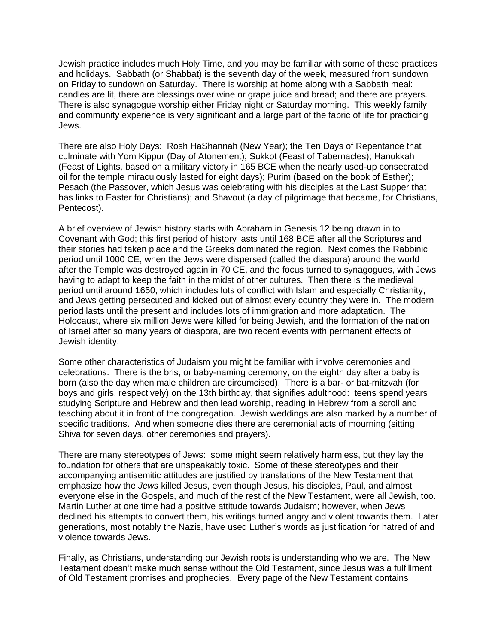Jewish practice includes much Holy Time, and you may be familiar with some of these practices and holidays. Sabbath (or Shabbat) is the seventh day of the week, measured from sundown on Friday to sundown on Saturday. There is worship at home along with a Sabbath meal: candles are lit, there are blessings over wine or grape juice and bread; and there are prayers. There is also synagogue worship either Friday night or Saturday morning. This weekly family and community experience is very significant and a large part of the fabric of life for practicing Jews.

There are also Holy Days: Rosh HaShannah (New Year); the Ten Days of Repentance that culminate with Yom Kippur (Day of Atonement); Sukkot (Feast of Tabernacles); Hanukkah (Feast of Lights, based on a military victory in 165 BCE when the nearly used-up consecrated oil for the temple miraculously lasted for eight days); Purim (based on the book of Esther); Pesach (the Passover, which Jesus was celebrating with his disciples at the Last Supper that has links to Easter for Christians); and Shavout (a day of pilgrimage that became, for Christians, Pentecost).

A brief overview of Jewish history starts with Abraham in Genesis 12 being drawn in to Covenant with God; this first period of history lasts until 168 BCE after all the Scriptures and their stories had taken place and the Greeks dominated the region. Next comes the Rabbinic period until 1000 CE, when the Jews were dispersed (called the diaspora) around the world after the Temple was destroyed again in 70 CE, and the focus turned to synagogues, with Jews having to adapt to keep the faith in the midst of other cultures. Then there is the medieval period until around 1650, which includes lots of conflict with Islam and especially Christianity, and Jews getting persecuted and kicked out of almost every country they were in. The modern period lasts until the present and includes lots of immigration and more adaptation. The Holocaust, where six million Jews were killed for being Jewish, and the formation of the nation of Israel after so many years of diaspora, are two recent events with permanent effects of Jewish identity.

Some other characteristics of Judaism you might be familiar with involve ceremonies and celebrations. There is the bris, or baby-naming ceremony, on the eighth day after a baby is born (also the day when male children are circumcised). There is a bar- or bat-mitzvah (for boys and girls, respectively) on the 13th birthday, that signifies adulthood: teens spend years studying Scripture and Hebrew and then lead worship, reading in Hebrew from a scroll and teaching about it in front of the congregation. Jewish weddings are also marked by a number of specific traditions. And when someone dies there are ceremonial acts of mourning (sitting Shiva for seven days, other ceremonies and prayers).

There are many stereotypes of Jews: some might seem relatively harmless, but they lay the foundation for others that are unspeakably toxic. Some of these stereotypes and their accompanying antisemitic attitudes are justified by translations of the New Testament that emphasize how the *Jews* killed Jesus, even though Jesus, his disciples, Paul, and almost everyone else in the Gospels, and much of the rest of the New Testament, were all Jewish, too. Martin Luther at one time had a positive attitude towards Judaism; however, when Jews declined his attempts to convert them, his writings turned angry and violent towards them. Later generations, most notably the Nazis, have used Luther's words as justification for hatred of and violence towards Jews.

Finally, as Christians, understanding our Jewish roots is understanding who we are. The New Testament doesn't make much sense without the Old Testament, since Jesus was a fulfillment of Old Testament promises and prophecies. Every page of the New Testament contains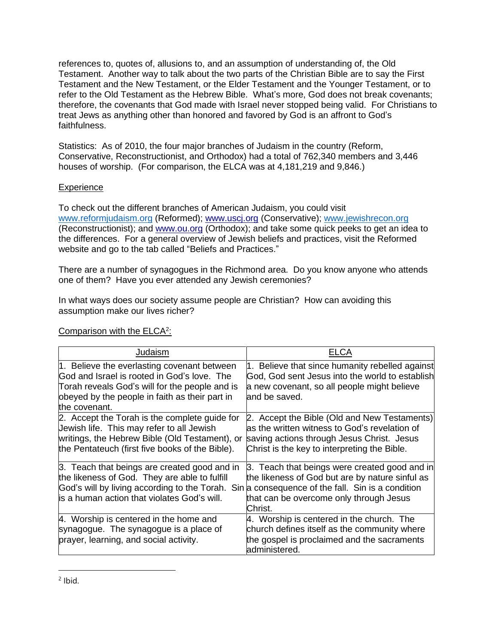references to, quotes of, allusions to, and an assumption of understanding of, the Old Testament. Another way to talk about the two parts of the Christian Bible are to say the First Testament and the New Testament, or the Elder Testament and the Younger Testament, or to refer to the Old Testament as the Hebrew Bible. What's more, God does not break covenants; therefore, the covenants that God made with Israel never stopped being valid. For Christians to treat Jews as anything other than honored and favored by God is an affront to God's faithfulness.

Statistics: As of 2010, the four major branches of Judaism in the country (Reform, Conservative, Reconstructionist, and Orthodox) had a total of 762,340 members and 3,446 houses of worship. (For comparison, the ELCA was at 4,181,219 and 9,846.)

#### **Experience**

To check out the different branches of American Judaism, you could visit www.reformjudaism.org (Reformed); www.uscj.org (Conservative); www.jewishrecon.org (Reconstructionist); and www.ou.org (Orthodox); and take some quick peeks to get an idea to the differences. For a general overview of Jewish beliefs and practices, visit the Reformed website and go to the tab called "Beliefs and Practices."

There are a number of synagogues in the Richmond area. Do you know anyone who attends one of them? Have you ever attended any Jewish ceremonies?

In what ways does our society assume people are Christian? How can avoiding this assumption make our lives richer?

| Judaism                                                                                                                                                                                                                                        | ELCA                                                                                                                                                                                         |
|------------------------------------------------------------------------------------------------------------------------------------------------------------------------------------------------------------------------------------------------|----------------------------------------------------------------------------------------------------------------------------------------------------------------------------------------------|
| 1. Believe the everlasting covenant between<br>God and Israel is rooted in God's love. The<br>Torah reveals God's will for the people and is<br>obeyed by the people in faith as their part in<br>the covenant.                                | 1. Believe that since humanity rebelled against<br>God, God sent Jesus into the world to establish<br>a new covenant, so all people might believe<br>land be saved.                          |
| 2. Accept the Torah is the complete guide for<br>Jewish life. This may refer to all Jewish<br>writings, the Hebrew Bible (Old Testament), or<br>the Pentateuch (first five books of the Bible).                                                | 2. Accept the Bible (Old and New Testaments)<br>las the written witness to God's revelation of<br>saving actions through Jesus Christ. Jesus<br>Christ is the key to interpreting the Bible. |
| 3. Teach that beings are created good and in<br>the likeness of God. They are able to fulfill<br>God's will by living according to the Torah. Sin a consequence of the fall. Sin is a condition<br>is a human action that violates God's will. | 3. Teach that beings were created good and in<br>the likeness of God but are by nature sinful as<br>that can be overcome only through Jesus<br>Christ.                                       |
| 4. Worship is centered in the home and<br>synagogue. The synagogue is a place of<br>prayer, learning, and social activity.                                                                                                                     | 4. Worship is centered in the church. The<br>church defines itself as the community where<br>the gospel is proclaimed and the sacraments<br>administered.                                    |

### Comparison with the ELCA<sup>2</sup>: